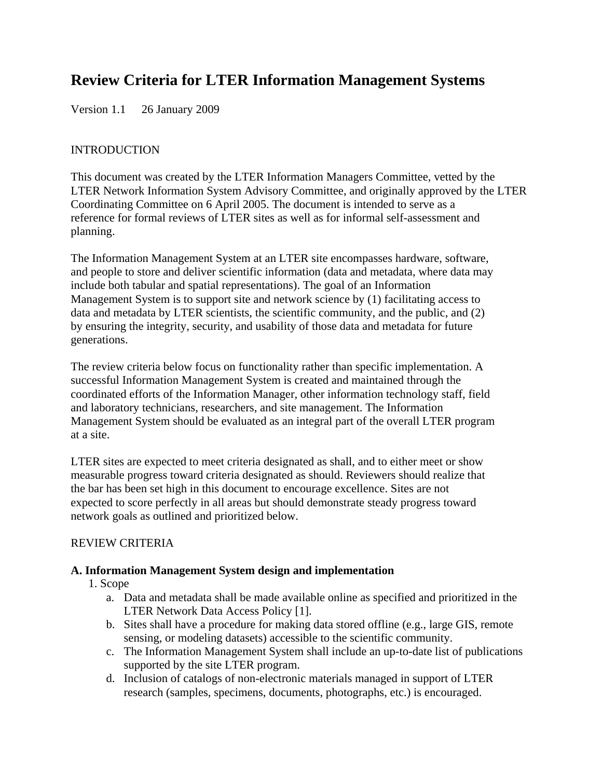# **Review Criteria for LTER Information Management Systems**

Version 1.1 26 January 2009

#### INTRODUCTION

This document was created by the LTER Information Managers Committee, vetted by the LTER Network Information System Advisory Committee, and originally approved by the LTER Coordinating Committee on 6 April 2005. The document is intended to serve as a reference for formal reviews of LTER sites as well as for informal self-assessment and planning.

The Information Management System at an LTER site encompasses hardware, software, and people to store and deliver scientific information (data and metadata, where data may include both tabular and spatial representations). The goal of an Information Management System is to support site and network science by (1) facilitating access to data and metadata by LTER scientists, the scientific community, and the public, and (2) by ensuring the integrity, security, and usability of those data and metadata for future generations.

The review criteria below focus on functionality rather than specific implementation. A successful Information Management System is created and maintained through the coordinated efforts of the Information Manager, other information technology staff, field and laboratory technicians, researchers, and site management. The Information Management System should be evaluated as an integral part of the overall LTER program at a site.

LTER sites are expected to meet criteria designated as shall, and to either meet or show measurable progress toward criteria designated as should. Reviewers should realize that the bar has been set high in this document to encourage excellence. Sites are not expected to score perfectly in all areas but should demonstrate steady progress toward network goals as outlined and prioritized below.

## REVIEW CRITERIA

## **A. Information Management System design and implementation**

- 1. Scope
	- a. Data and metadata shall be made available online as specified and prioritized in the LTER Network Data Access Policy [1].
	- b. Sites shall have a procedure for making data stored offline (e.g., large GIS, remote sensing, or modeling datasets) accessible to the scientific community.
	- c. The Information Management System shall include an up-to-date list of publications supported by the site LTER program.
	- d. Inclusion of catalogs of non-electronic materials managed in support of LTER research (samples, specimens, documents, photographs, etc.) is encouraged.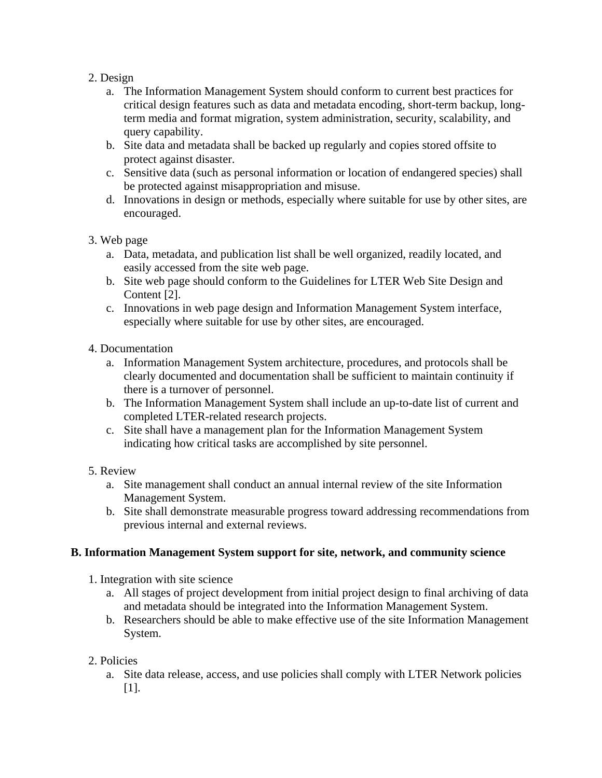## 2. Design

- a. The Information Management System should conform to current best practices for critical design features such as data and metadata encoding, short-term backup, longterm media and format migration, system administration, security, scalability, and query capability.
- b. Site data and metadata shall be backed up regularly and copies stored offsite to protect against disaster.
- c. Sensitive data (such as personal information or location of endangered species) shall be protected against misappropriation and misuse.
- d. Innovations in design or methods, especially where suitable for use by other sites, are encouraged.
- 3. Web page
	- a. Data, metadata, and publication list shall be well organized, readily located, and easily accessed from the site web page.
	- b. Site web page should conform to the Guidelines for LTER Web Site Design and Content [2].
	- c. Innovations in web page design and Information Management System interface, especially where suitable for use by other sites, are encouraged.

## 4. Documentation

- a. Information Management System architecture, procedures, and protocols shall be clearly documented and documentation shall be sufficient to maintain continuity if there is a turnover of personnel.
- b. The Information Management System shall include an up-to-date list of current and completed LTER-related research projects.
- c. Site shall have a management plan for the Information Management System indicating how critical tasks are accomplished by site personnel.

## 5. Review

- a. Site management shall conduct an annual internal review of the site Information Management System.
- b. Site shall demonstrate measurable progress toward addressing recommendations from previous internal and external reviews.

## **B. Information Management System support for site, network, and community science**

- 1. Integration with site science
	- a. All stages of project development from initial project design to final archiving of data and metadata should be integrated into the Information Management System.
	- b. Researchers should be able to make effective use of the site Information Management System.
- 2. Policies
	- a. Site data release, access, and use policies shall comply with LTER Network policies [1].